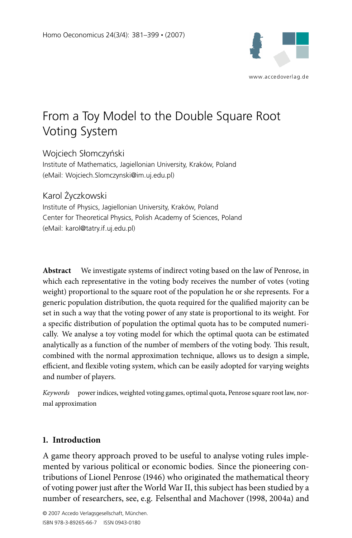

# From a Toy Model to the Double Square Root Voting System

Wojciech Słomczyński Institute of Mathematics, Jagiellonian University, Kraków, Poland (eMail: Wojciech.Slomczynski@im.uj.edu.pl)

Karol Zyczkowski ˙

Institute of Physics, Jagiellonian University, Kraków, Poland Center for Theoretical Physics, Polish Academy of Sciences, Poland (eMail: karol@tatry.if.uj.edu.pl)

**Abstract** We investigate systems of indirect voting based on the law of Penrose, in which each representative in the voting body receives the number of votes (voting weight) proportional to the square root of the population he or she represents. For a generic population distribution, the quota required for the qualified majority can be set in such a way that the voting power of any state is proportional to its weight. For a specific distribution of population the optimal quota has to be computed numerically. We analyse a toy voting model for which the optimal quota can be estimated analytically as a function of the number of members of the voting body. This result, combined with the normal approximation technique, allows us to design a simple, efficient, and flexible voting system, which can be easily adopted for varying weights and number of players.

Keywords power indices, weighted voting games, optimal quota, Penrose square root law, normal approximation

# **1. Introduction**

A game theory approach proved to be useful to analyse voting rules implemented by various political or economic bodies. Since the pioneering contributions of Lionel Penrose (1946) who originated the mathematical theory of voting power just after the World War II, this subject has been studied by a number of researchers, see, e.g. Felsenthal and Machover (1998, 2004a) and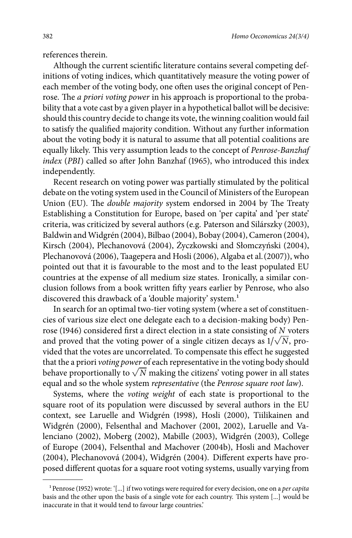references therein.

Although the current scientific literature contains several competing definitions of voting indices, which quantitatively measure the voting power of each member of the voting body, one often uses the original concept of Penrose. The a priori voting power in his approach is proportional to the probability that a vote cast by a given player in a hypothetical ballot will be decisive: should this country decide to change its vote, the winning coalition would fail to satisfy the qualified majority condition. Without any further information about the voting body it is natural to assume that all potential coalitions are equally likely. This very assumption leads to the concept of Penrose-Banzhaf index (PBI) called so after John Banzhaf (1965), who introduced this index independently.

Recent research on voting power was partially stimulated by the political debate on the voting system used in the Council of Ministers of the European Union (EU). The double majority system endorsed in 2004 by The Treaty Establishing a Constitution for Europe, based on 'per capita' and 'per state' criteria, was criticized by several authors (e.g. Paterson and Silárszky (2003), Baldwin andWidgrén (2004), Bilbao (2004), Bobay (2004), Cameron (2004), Kirsch (2004), Plechanovová (2004), Życzkowski and Słomczyński (2004), Plechanovová (2006), Taagepera and Hosli (2006), Algaba et al.(2007)), who pointed out that it is favourable to the most and to the least populated EU countries at the expense of all medium size states. Ironically, a similar conclusion follows from a book written fifty years earlier by Penrose, who also discovered this drawback of a 'double majority' system.<sup>1</sup>

In search for an optimal two-tier voting system (where a set of constituencies of various size elect one delegate each to a decision-making body) Penrose (1946) considered first a direct election in a state consisting of  $N$  voters and proved that the voting power of a single citizen decays as  $1/\sqrt{N}$ , provided that the votes are uncorrelated. To compensate this effect he suggested that the a priori voting power of each representative in the voting body should behave proportionally to  $\sqrt{N}$  making the citizens' voting power in all states equal and so the whole system representative (the Penrose square root law).

Systems, where the voting weight of each state is proportional to the square root of its population were discussed by several authors in the EU context, see Laruelle and Widgrén (1998), Hosli (2000), Tiilikainen and Widgrén (2000), Felsenthal and Machover (2001, 2002), Laruelle and Valenciano (2002), Moberg (2002), Mabille (2003), Widgrén (2003), College of Europe (2004), Felsenthal and Machover (2004b), Hosli and Machover (2004), Plechanovová (2004), Widgrén (2004). Different experts have proposed different quotas for a square root voting systems, usually varying from

<sup>&</sup>lt;sup>1</sup> Penrose (1952) wrote: '[...] if two votings were required for every decision, one on a per capita basis and the other upon the basis of a single vote for each country. This system [...] would be inaccurate in that it would tend to favour large countries.'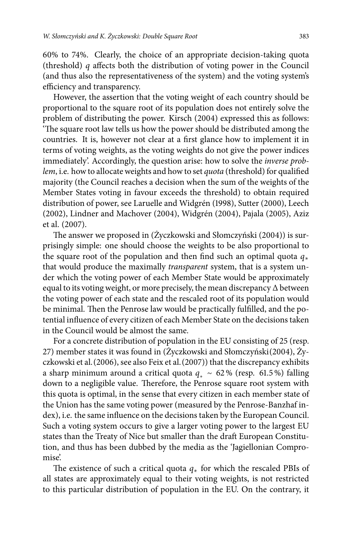60% to 74%. Clearly, the choice of an appropriate decision-taking quota (threshold)  $q$  affects both the distribution of voting power in the Council (and thus also the representativeness of the system) and the voting system's efficiency and transparency.

However, the assertion that the voting weight of each country should be proportional to the square root of its population does not entirely solve the problem of distributing the power. Kirsch (2004) expressed this as follows: 'The square root law tells us how the power should be distributed among the countries. It is, however not clear at a first glance how to implement it in terms of voting weights, as the voting weights do not give the power indices immediately'. Accordingly, the question arise: how to solve the inverse problem, i.e. how to allocate weights and how to set quota (threshold) for qualified majority (the Council reaches a decision when the sum of the weights of the Member States voting in favour exceeds the threshold) to obtain required distribution of power, see Laruelle and Widgrén (1998), Sutter (2000), Leech (2002), Lindner and Machover (2004), Widgrén (2004), Pajala (2005), Aziz et al. (2007).

The answer we proposed in (Życzkowski and Słomczyński (2004)) is surprisingly simple: one should choose the weights to be also proportional to the square root of the population and then find such an optimal quota  $q_*$ that would produce the maximally *transparent* system, that is a system under which the voting power of each Member State would be approximately equal to its voting weight, or more precisely, the mean discrepancy ∆ between the voting power of each state and the rescaled root of its population would be minimal. Then the Penrose law would be practically fulfilled, and the potential influence of every citizen of each Member State on the decisions taken in the Council would be almost the same.

For a concrete distribution of population in the EU consisting of 25 (resp. 27) member states it was found in (Życzkowski and Słomczyński(2004), Życzkowski et al.(2006), see also Feix et al.(2007)) that the discrepancy exhibits a sharp minimum around a critical quota  $q_* \sim 62\%$  (resp. 61.5%) falling down to a negligible value. Therefore, the Penrose square root system with this quota is optimal, in the sense that every citizen in each member state of the Union has the same voting power (measured by the Penrose-Banzhaf index), i.e. the same influence on the decisions taken by the European Council. Such a voting system occurs to give a larger voting power to the largest EU states than the Treaty of Nice but smaller than the draft European Constitution, and thus has been dubbed by the media as the 'Jagiellonian Compromise'.

The existence of such a critical quota  $q_*$  for which the rescaled PBIs of all states are approximately equal to their voting weights, is not restricted to this particular distribution of population in the EU. On the contrary, it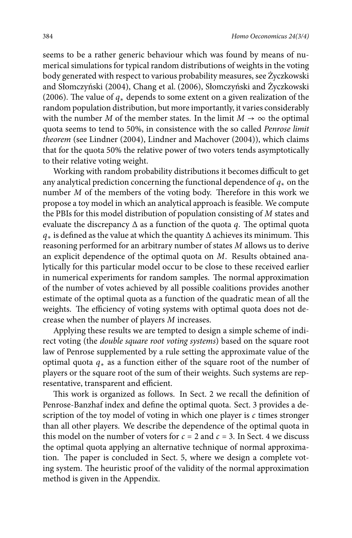seems to be a rather generic behaviour which was found by means of numerical simulations for typical random distributions of weights in the voting body generated with respect to various probability measures, see Życzkowski and Słomczyński (2004), Chang et al. (2006), Słomczyński and Życzkowski (2006). The value of  $q_{\ast}$  depends to some extent on a given realization of the random population distribution, but more importantly, it varies considerably with the number M of the member states. In the limit  $M \to \infty$  the optimal quota seems to tend to 50%, in consistence with the so called Penrose limit theorem (see Lindner (2004), Lindner and Machover (2004)), which claims that for the quota 50% the relative power of two voters tends asymptotically to their relative voting weight.

Working with random probability distributions it becomes difficult to get any analytical prediction concerning the functional dependence of  $q_*$  on the number  $M$  of the members of the voting body. Therefore in this work we propose a toy model in which an analytical approach is feasible. We compute the PBIs for this model distribution of population consisting of M states and evaluate the discrepancy  $\Delta$  as a function of the quota q. The optimal quota  $q$ ∗ is defined as the value at which the quantity  $\Delta$  achieves its minimum. This reasoning performed for an arbitrary number of states M allows us to derive an explicit dependence of the optimal quota on M. Results obtained analytically for this particular model occur to be close to these received earlier in numerical experiments for random samples. The normal approximation of the number of votes achieved by all possible coalitions provides another estimate of the optimal quota as a function of the quadratic mean of all the weights. The efficiency of voting systems with optimal quota does not decrease when the number of players M increases.

Applying these results we are tempted to design a simple scheme of indirect voting (the double square root voting systems) based on the square root law of Penrose supplemented by a rule setting the approximate value of the optimal quota  $q_*$  as a function either of the square root of the number of players or the square root of the sum of their weights. Such systems are representative, transparent and efficient.

This work is organized as follows. In Sect. 2 we recall the definition of Penrose-Banzhaf index and define the optimal quota. Sect. 3 provides a description of the toy model of voting in which one player is  $c$  times stronger than all other players. We describe the dependence of the optimal quota in this model on the number of voters for  $c = 2$  and  $c = 3$ . In Sect. 4 we discuss the optimal quota applying an alternative technique of normal approximation. The paper is concluded in Sect. 5, where we design a complete voting system. The heuristic proof of the validity of the normal approximation method is given in the Appendix.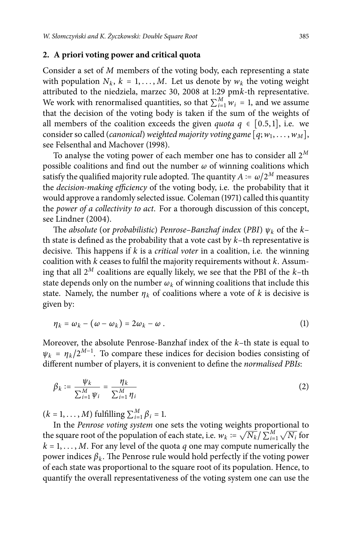#### **2. A priori voting power and critical quota**

Consider a set of M members of the voting body, each representing a state with population  $N_k$ ,  $k = 1, ..., M$ . Let us denote by  $w_k$  the voting weight attributed to the niedziela, marzec 30, 2008 at 1:29 pmk-th representative. We work with renormalised quantities, so that  $\sum_{i=1}^{M} w_i = 1$ , and we assume that the decision of the voting body is taken if the sum of the weights of all members of the coalition exceeds the given *quota*  $q \in [0.5, 1]$ , i.e. we consider so called (canonical) weighted majority voting game  $[q; w_1, \ldots, w_M]$ , see Felsenthal and Machover (1998).

To analyse the voting power of each member one has to consider all  $2^M$ possible coalitions and find out the number  $\omega$  of winning coalitions which satisfy the qualified majority rule adopted. The quantity  $A = \omega/2^M$  measures the *decision-making efficiency* of the voting body, i.e. the probability that it would approve a randomly selected issue. Coleman (1971) called this quantity the power of a collectivity to act. For a thorough discussion of this concept, see Lindner (2004).

The absolute (or probabilistic) Penrose–Banzhaf index (PBI)  $\psi_k$  of the k– th state is defined as the probability that a vote cast by  $k$ –th representative is decisive. This happens if  $k$  is a *critical voter* in a coalition, i.e. the winning coalition with  $k$  ceases to fulfil the majority requirements without  $k$ . Assuming that all  $2^M$  coalitions are equally likely, we see that the PBI of the k–th state depends only on the number  $\omega_k$  of winning coalitions that include this state. Namely, the number  $\eta_k$  of coalitions where a vote of k is decisive is given by:

$$
\eta_k = \omega_k - (\omega - \omega_k) = 2\omega_k - \omega.
$$
 (1)

Moreover, the absolute Penrose-Banzhaf index of the  $k$ -th state is equal to  $\psi_k = \eta_k / 2^{M-1}$ . To compare these indices for decision bodies consisting of different number of players, it is convenient to define the normalised PBIs:

$$
\beta_k := \frac{\psi_k}{\sum_{i=1}^M \psi_i} = \frac{\eta_k}{\sum_{i=1}^M \eta_i}
$$
\n(2)

 $(k = 1, ..., M)$  fulfilling  $\sum_{i=1}^{M} \beta_i = 1$ .

In the Penrose voting system one sets the voting weights proportional to the square root of the population of each state, i.e.  $w_k = \sqrt{N_k}/\sum_{i=1}^{M} \sqrt{N_i}$  for  $k = 1, \ldots, M$ . For any level of the quota q one may compute numerically the power indices  $\beta_k$ . The Penrose rule would hold perfectly if the voting power of each state was proportional to the square root of its population. Hence, to quantify the overall representativeness of the voting system one can use the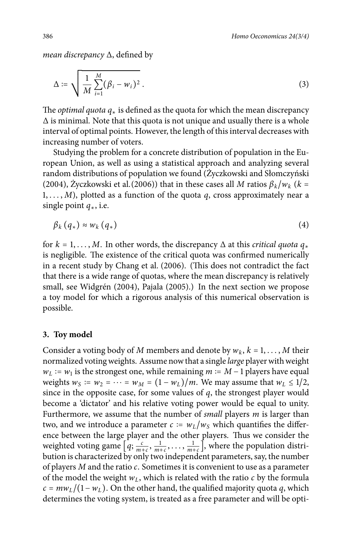*mean discrepancy*  $\Delta$ , defined by

$$
\Delta \coloneqq \sqrt{\frac{1}{M} \sum_{i=1}^{M} (\beta_i - w_i)^2} \,. \tag{3}
$$

The *optimal quota*  $q_{*}$  is defined as the quota for which the mean discrepancy ∆ is minimal. Note that this quota is not unique and usually there is a whole interval of optimal points. However, the length of this interval decreases with increasing number of voters.

Studying the problem for a concrete distribution of population in the European Union, as well as using a statistical approach and analyzing several random distributions of population we found (Życzkowski and Słomczyński (2004), Życzkowski et al.(2006)) that in these cases all M ratios  $\beta_k/w_k$  ( $k =$  $1, \ldots, M$ ), plotted as a function of the quota q, cross approximately near a single point  $q_{\ast}$ , i.e.

$$
\beta_k(q_*) \approx w_k(q_*) \tag{4}
$$

for  $k = 1, \ldots, M$ . In other words, the discrepancy  $\Delta$  at this *critical quota q*<sup>\*</sup> is negligible. The existence of the critical quota was confirmed numerically in a recent study by Chang et al. (2006). (This does not contradict the fact that there is a wide range of quotas, where the mean discrepancy is relatively small, see Widgrén (2004), Pajala (2005).) In the next section we propose a toy model for which a rigorous analysis of this numerical observation is possible.

#### **3. Toy model**

Consider a voting body of M members and denote by  $w_k$ ,  $k = 1, ..., M$  their normalized voting weights. Assume now that a single large player with weight  $w_L := w_1$  is the strongest one, while remaining  $m := M - 1$  players have equal weights  $w_S := w_2 = \cdots = w_M = (1 - w_L)/m$ . We may assume that  $w_L \leq 1/2$ , since in the opposite case, for some values of  $q$ , the strongest player would become a 'dictator' and his relative voting power would be equal to unity. Furthermore, we assume that the number of *small* players *m* is larger than two, and we introduce a parameter  $c := w_L/w_S$  which quantifies the difference between the large player and the other players. Thus we consider the weighted voting game  $\left[q; \frac{c}{m+c}, \frac{1}{m+c}, \ldots, \frac{1}{m+c}\right]$ , where the population distribution is characterized by only two independent parameters, say, the number of players  $M$  and the ratio  $c$ . Sometimes it is convenient to use as a parameter of the model the weight  $w_L$ , which is related with the ratio c by the formula  $c = mw_L/(1 - w_L)$ . On the other hand, the qualified majority quota q, which determines the voting system, is treated as a free parameter and will be opti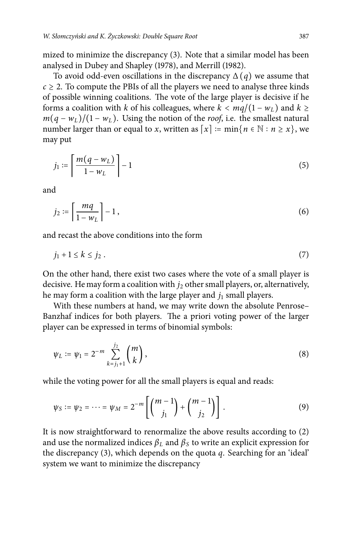mized to minimize the discrepancy (3). Note that a similar model has been analysed in Dubey and Shapley (1978), and Merrill (1982).

To avoid odd-even oscillations in the discrepancy  $\Delta(q)$  we assume that  $c \geq 2$ . To compute the PBIs of all the players we need to analyse three kinds of possible winning coalitions. The vote of the large player is decisive if he forms a coalition with k of his colleagues, where  $k < mq/(1 - w_L)$  and  $k \ge$  $m(q - w_L)/(1 - w_L)$ . Using the notion of the *roof*, i.e. the smallest natural number larger than or equal to x, written as  $[x] := min\{n \in \mathbb{N} : n \geq x\}$ , we may put

$$
j_1 := \left\lceil \frac{m(q - w_L)}{1 - w_L} \right\rceil - 1 \tag{5}
$$

and

$$
j_2 := \left\lceil \frac{mq}{1 - w_L} \right\rceil - 1, \tag{6}
$$

and recast the above conditions into the form

 $j_1 + 1 \le k \le j_2$ . (7)

On the other hand, there exist two cases where the vote of a small player is decisive. He may form a coalition with  $j_2$  other small players, or, alternatively, he may form a coalition with the large player and  $j_1$  small players.

With these numbers at hand, we may write down the absolute Penrose– Banzhaf indices for both players. The a priori voting power of the larger player can be expressed in terms of binomial symbols:

$$
\psi_L := \psi_1 = 2^{-m} \sum_{k=j_1+1}^{j_2} \binom{m}{k},\tag{8}
$$

while the voting power for all the small players is equal and reads:

$$
\psi_S := \psi_2 = \dots = \psi_M = 2^{-m} \left[ \binom{m-1}{j_1} + \binom{m-1}{j_2} \right]. \tag{9}
$$

It is now straightforward to renormalize the above results according to (2) and use the normalized indices  $\beta_L$  and  $\beta_S$  to write an explicit expression for the discrepancy  $(3)$ , which depends on the quota q. Searching for an 'ideal' system we want to minimize the discrepancy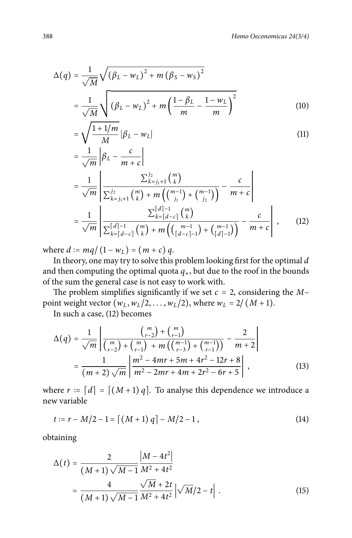$$
\Delta(q) = \frac{1}{\sqrt{M}} \sqrt{\left(\beta_L - w_L\right)^2 + m\left(\beta_S - w_S\right)^2}
$$

$$
= \frac{1}{\sqrt{M}} \sqrt{\left(\beta_L - w_L\right)^2 + m\left(\frac{1 - \beta_L}{m} - \frac{1 - w_L}{m}\right)^2}
$$
(10)

$$
=\sqrt{\frac{1+1/m}{M}}\left|\beta_L - w_L\right| \tag{11}
$$

$$
= \frac{1}{\sqrt{m}} \left| \beta_L - \frac{c}{m+c} \right|
$$
  
= 
$$
\frac{1}{\sqrt{m}} \left| \frac{\sum_{k=j_1+1}^{j_2} {m \choose k}}{\sum_{k=j_1+1}^{j_2} {m \choose k} + m \left( {m-1 \choose j_1} + {m-1 \choose j_2} \right)} - \frac{c}{m+c} \right|
$$
  
= 
$$
\frac{1}{\sqrt{m}} \left| \frac{\sum_{k=[d-c]}^{[d]-1} {m \choose k}}{\sum_{k=[d-c]}^{[d]-1} {m \choose k} + m \left( {m-1 \choose [d-c]-1} + {m-1 \choose [d]-1} \right)} - \frac{c}{m+c} \right|,
$$
(12)

where  $d := mq/(1 - w_L) = (m + c) q$ .

In theory, one may try to solve this problem looking first for the optimal  $d$ and then computing the optimal quota  $q_{*}$ , but due to the roof in the bounds of the sum the general case is not easy to work with.

The problem simplifies significantly if we set  $c = 2$ , considering the Mpoint weight vector  $(w_L, w_L/2, \ldots, w_L/2)$ , where  $w_L = 2/(M + 1)$ .

In such a case, (12) becomes

$$
\Delta(q) = \frac{1}{\sqrt{m}} \left| \frac{\binom{m}{r-2} + \binom{m}{r-1}}{\binom{m}{r-2} + \binom{m}{r-1} + m \left( \binom{m-1}{r-3} + \binom{m-1}{r-1} \right)} - \frac{2}{m+2} \right|
$$
  
= 
$$
\frac{1}{(m+2)\sqrt{m}} \left| \frac{m^2 - 4mr + 5m + 4r^2 - 12r + 8}{m^2 - 2mr + 4m + 2r^2 - 6r + 5} \right|,
$$
 (13)

where  $r := [d] = [(M + 1) q]$ . To analyse this dependence we introduce a new variable

$$
t := r - M/2 - 1 = [(M + 1) q] - M/2 - 1,
$$
\n(14)

obtaining

$$
\Delta(t) = \frac{2}{(M+1)\sqrt{M-1}} \frac{|M-4t^2|}{M^2+4t^2}
$$
  
= 
$$
\frac{4}{(M+1)\sqrt{M-1}} \frac{\sqrt{M}+2t}{M^2+4t^2} |\sqrt{M}/2-t|.
$$
 (15)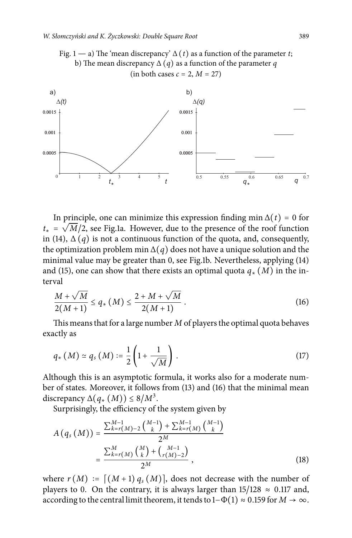Fig. 1 — a) The 'mean discrepancy'  $\Delta(t)$  as a function of the parameter t; b) The mean discrepancy  $\Delta(q)$  as a function of the parameter q (in both cases  $c = 2$ ,  $M = 27$ )



In principle, one can minimize this expression finding min  $\Delta(t) = 0$  for  $t_* = \sqrt{M/2}$ , see Fig.1a. However, due to the presence of the roof function in (14),  $\Delta(q)$  is not a continuous function of the quota, and, consequently, the optimization problem min  $\Delta(q)$  does not have a unique solution and the minimal value may be greater than 0, see Fig.1b. Nevertheless, applying (14) and (15), one can show that there exists an optimal quota  $q_*(M)$  in the interval

$$
\frac{M+\sqrt{M}}{2(M+1)} \le q_*(M) \le \frac{2+M+\sqrt{M}}{2(M+1)}\,. \tag{16}
$$

This means that for a large number  $M$  of players the optimal quota behaves exactly as

$$
q_{*}\left(M\right)\simeq q_{s}\left(M\right):=\frac{1}{2}\left(1+\frac{1}{\sqrt{M}}\right). \tag{17}
$$

Although this is an asymptotic formula, it works also for a moderate number of states. Moreover, it follows from (13) and (16) that the minimal mean discrepancy  $\Delta(q_*(M)) \leq 8/M^3$ .

Surprisingly, the efficiency of the system given by

$$
A(q_s(M)) = \frac{\sum_{k=r(M)-2}^{M-1} {M-1 \choose k} + \sum_{k=r(M)}^{M-1} {M-1 \choose k}}{2^M}
$$
  
= 
$$
\frac{\sum_{k=r(M)}^{M} {M \choose k} + {M-1 \choose r(M)-2}}{2^M},
$$
 (18)

where  $r(M) := [(M+1) q_s(M)]$ , does not decrease with the number of players to 0. On the contrary, it is always larger than  $15/128 \approx 0.117$  and, according to the central limit theorem, it tends to 1– $\Phi(1) \approx 0.159$  for  $M \to \infty$ .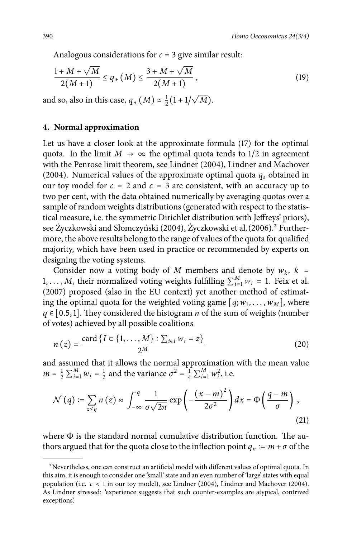Analogous considerations for  $c = 3$  give similar result:

$$
\frac{1+M+\sqrt{M}}{2(M+1)} \le q_*\left(M\right) \le \frac{3+M+\sqrt{M}}{2(M+1)},\tag{19}
$$

and so, also in this case,  $q_*(M) \simeq \frac{1}{2}(1+1/\sqrt{M}).$ 

#### **4. Normal approximation**

Let us have a closer look at the approximate formula (17) for the optimal quota. In the limit  $M \to \infty$  the optimal quota tends to 1/2 in agreement with the Penrose limit theorem, see Lindner (2004), Lindner and Machover (2004). Numerical values of the approximate optimal quota  $q_s$  obtained in our toy model for  $c = 2$  and  $c = 3$  are consistent, with an accuracy up to two per cent, with the data obtained numerically by averaging quotas over a sample of random weights distributions (generated with respect to the statistical measure, i.e. the symmetric Dirichlet distribution with Jeffreys' priors), see Życzkowski and Słomczyński (2004), Życzkowski et al. (2006).<sup>2</sup> Furthermore, the above results belong to the range of values of the quota for qualified majority, which have been used in practice or recommended by experts on designing the voting systems.

Consider now a voting body of M members and denote by  $w_k$ ,  $k =$ 1, ..., *M*, their normalized voting weights fulfilling  $\sum_{i=1}^{M} w_i = 1$ . Feix et al. (2007) proposed (also in the EU context) yet another method of estimating the optimal quota for the weighted voting game  $[q; w_1, \ldots, w_M]$ , where  $q \in [0.5, 1]$ . They considered the histogram *n* of the sum of weights (number of votes) achieved by all possible coalitions

$$
n(z) = \frac{\operatorname{card}\left\{I \subset \{1, \ldots, M\} : \sum_{i \in I} w_i = z\right\}}{2^M}
$$
 (20)

and assumed that it allows the normal approximation with the mean value  $m=\frac{1}{2}\sum$  $_{i=1}^{M} w_i = \frac{1}{2}$  and the variance  $\sigma^2 = \frac{1}{4} \sum$  $_{i=1}^M w_i^2$ , i.e.

$$
\mathcal{N}(q) \coloneqq \sum_{z \le q} n(z) \approx \int_{-\infty}^{q} \frac{1}{\sigma \sqrt{2\pi}} \exp\left(-\frac{(x-m)^2}{2\sigma^2}\right) dx = \Phi\left(\frac{q-m}{\sigma}\right),\tag{21}
$$

where  $\Phi$  is the standard normal cumulative distribution function. The authors argued that for the quota close to the inflection point  $q_n := m + \sigma$  of the

<sup>&</sup>lt;sup>2</sup>Nevertheless, one can construct an artificial model with different values of optimal quota. In this aim, it is enough to consider one 'small' state and an even number of 'large' states with equal population (i.e.  $c < 1$  in our toy model), see Lindner (2004), Lindner and Machover (2004). As Lindner stressed: 'experience suggests that such counter-examples are atypical, contrived exceptions'.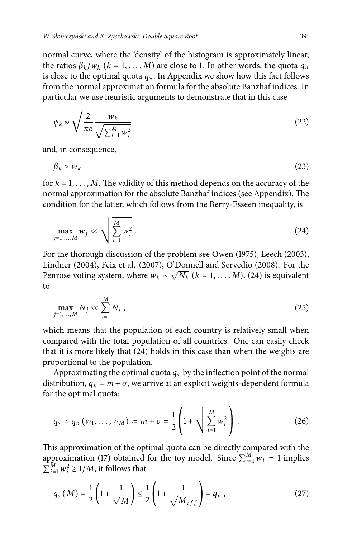normal curve, where the 'density' of the histogram is approximately linear, the ratios  $\beta_k/w_k$  ( $k = 1, ..., M$ ) are close to 1. In other words, the quota  $q_n$ is close to the optimal quota  $q_{\ast}$ . In Appendix we show how this fact follows from the normal approximation formula for the absolute Banzhaf indices. In particular we use heuristic arguments to demonstrate that in this case

$$
\psi_k \approx \sqrt{\frac{2}{\pi e}} \frac{w_k}{\sqrt{\sum_{i=1}^M w_i^2}}
$$
(22)

and, in consequence,

 $\beta_k \approx w_k$  (23)

for  $k = 1, \ldots, M$ . The validity of this method depends on the accuracy of the normal approximation for the absolute Banzhaf indices (see Appendix). The condition for the latter, which follows from the Berry-Esseen inequality, is

$$
\max_{j=1,\ldots,M} w_j \ll \sqrt{\sum_{i=1}^M w_i^2} \,. \tag{24}
$$

For the thorough discussion of the problem see Owen (1975), Leech (2003), Lindner (2004), Feix et al. (2007), O'Donnell and Servedio (2008). For the Penrose voting system, where  $w_k \sim \sqrt{N_k}$  ( $k = 1, ..., M$ ), (24) is equivalent to

$$
\max_{j=1,...,M} N_j \ll \sum_{i=1}^{M} N_i \,, \tag{25}
$$

which means that the population of each country is relatively small when compared with the total population of all countries. One can easily check that it is more likely that (24) holds in this case than when the weights are proportional to the population.

Approximating the optimal quota  $q_*$  by the inflection point of the normal distribution,  $q_n = m + \sigma$ , we arrive at an explicit weights-dependent formula for the optimal quota:

$$
q_* \simeq q_n (w_1, \ldots, w_M) := m + \sigma = \frac{1}{2} \left( 1 + \sqrt{\sum_{i=1}^M w_i^2} \right). \tag{26}
$$

This approximation of the optimal quota can be directly compared with the approximation (17) obtained for the toy model. Since  $\sum_{i=1}^{M} w_i = 1$  implies ∑  $\prod_{i=1}^{M} w_i^2 \ge 1/M$ , it follows that

$$
q_s(M) = \frac{1}{2} \left( 1 + \frac{1}{\sqrt{M}} \right) \le \frac{1}{2} \left( 1 + \frac{1}{\sqrt{M_{eff}}} \right) = q_n , \qquad (27)
$$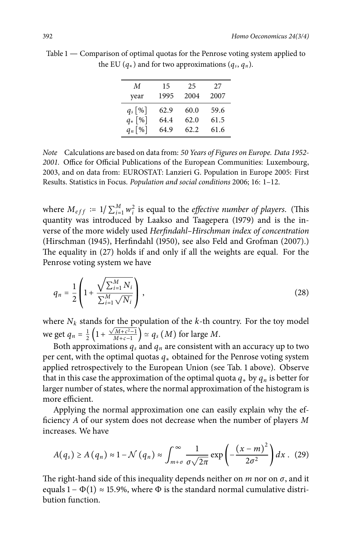Table 1 — Comparison of optimal quotas for the Penrose voting system applied to the EU ( $q_*$ ) and for two approximations ( $q_s$ ,  $q_n$ ).

| M         | 15   | 25   | 27   |
|-----------|------|------|------|
| year      | 1995 | 2004 | 2007 |
| $q_s$ [%] | 62.9 | 60.0 | 59.6 |
| $q_* [%]$ | 64.4 | 62.0 | 61.5 |
| $q_n$ [%] | 64.9 | 62.2 | 61.6 |

Note Calculations are based on data from: 50 Years of Figures on Europe. Data 1952- 2001. Office for Official Publications of the European Communities: Luxembourg, 2003, and on data from: EUROSTAT: Lanzieri G. Population in Europe 2005: First Results. Statistics in Focus. Population and social conditions 2006; 16: 1–12.

where  $M_{eff} := 1/\sum_{i=1}^{M} w_i^2$  is equal to the *effective number of players*. (This quantity was introduced by Laakso and Taagepera (1979) and is the inverse of the more widely used Herfindahl-Hirschman index of concentration (Hirschman (1945), Herfindahl (1950), see also Feld and Grofman (2007).) The equality in (27) holds if and only if all the weights are equal. For the Penrose voting system we have

$$
q_n = \frac{1}{2} \left( 1 + \frac{\sqrt{\sum_{i=1}^{M} N_i}}{\sum_{i=1}^{M} \sqrt{N_i}} \right),
$$
 (28)

where  $N_k$  stands for the population of the k-th country. For the toy model where  $N_k$  stands for the population of the *N* three<br>we get  $q_n = \frac{1}{2} \left( 1 + \frac{\sqrt{M+c^2-1}}{M+c-1} \right) \approx q_s(M)$  for large *M*.

Both approximations  $q_s$  and  $q_n$  are consistent with an accuracy up to two per cent, with the optimal quotas  $q_*$  obtained for the Penrose voting system applied retrospectively to the European Union (see Tab. 1 above). Observe that in this case the approximation of the optimal quota  $q_*$  by  $q_n$  is better for larger number of states, where the normal approximation of the histogram is more efficient.

Applying the normal approximation one can easily explain why the ef ficiency  $A$  of our system does not decrease when the number of players  $M$ increases. We have

$$
A(q_s) \ge A(q_n) \approx 1 - \mathcal{N}(q_n) \approx \int_{m+\sigma}^{\infty} \frac{1}{\sigma \sqrt{2\pi}} \exp\left(-\frac{(x-m)^2}{2\sigma^2}\right) dx \quad (29)
$$

The right-hand side of this inequality depends neither on  $m$  nor on  $\sigma$ , and it equals  $1 - \Phi(1) \approx 15.9\%$ , where  $\Phi$  is the standard normal cumulative distribution function.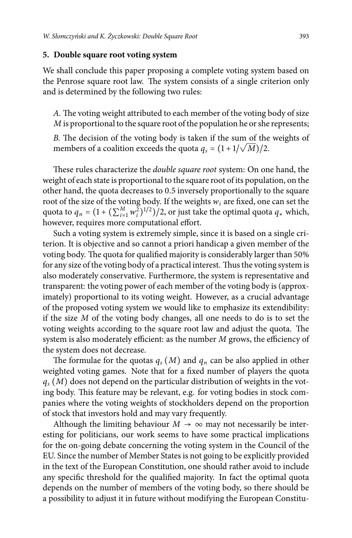#### **5. Double square root voting system**

We shall conclude this paper proposing a complete voting system based on the Penrose square root law. The system consists of a single criterion only and is determined by the following two rules:

A. The voting weight attributed to each member of the voting body of size M is proportional to the square root of the population he or she represents;

B. The decision of the voting body is taken if the sum of the weights of members of a coalition exceeds the quota  $q_s = (1 + 1/\sqrt{M})/2$ .

These rules characterize the *double square root system*: On one hand, the weight of each state is proportional to the square root of its population, on the other hand, the quota decreases to 0.5 inversely proportionally to the square root of the size of the voting body. If the weights  $w_i$  are fixed, one can set the quota to  $q_n = (1 + (\sum_{i=1}^M w_i^2)^{1/2})/2$ , or just take the optimal quota  $q_*$  which, however, requires more computational effort.

Such a voting system is extremely simple, since it is based on a single criterion. It is objective and so cannot a priori handicap a given member of the voting body. The quota for qualified majority is considerably larger than 50% for any size of the voting body of a practical interest. Thus the voting system is also moderately conservative. Furthermore, the system is representative and transparent: the voting power of each member of the voting body is (approximately) proportional to its voting weight. However, as a crucial advantage of the proposed voting system we would like to emphasize its extendibility: if the size M of the voting body changes, all one needs to do is to set the voting weights according to the square root law and adjust the quota. The system is also moderately efficient: as the number  $M$  grows, the efficiency of the system does not decrease.

The formulae for the quotas  $q_s(M)$  and  $q_n$  can be also applied in other weighted voting games. Note that for a fixed number of players the quota  $q_s(M)$  does not depend on the particular distribution of weights in the voting body. This feature may be relevant, e.g. for voting bodies in stock companies where the voting weights of stockholders depend on the proportion of stock that investors hold and may vary frequently.

Although the limiting behaviour  $M \rightarrow \infty$  may not necessarily be interesting for politicians, our work seems to have some practical implications for the on-going debate concerning the voting system in the Council of the EU. Since the number of Member States is not going to be explicitly provided in the text of the European Constitution, one should rather avoid to include any specific threshold for the qualified majority. In fact the optimal quota depends on the number of members of the voting body, so there should be a possibility to adjust it in future without modifying the European Constitu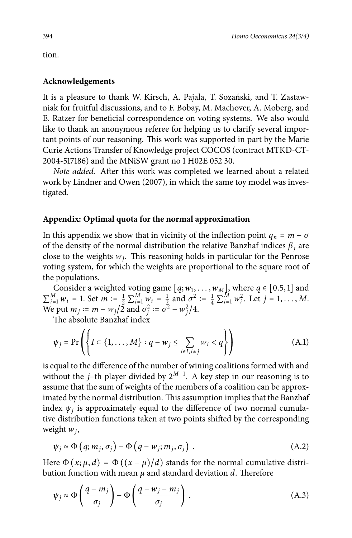tion.

#### **Acknowledgements**

It is a pleasure to thank W. Kirsch, A. Pajala, T. Sozański, and T. Zastawniak for fruitful discussions, and to F. Bobay, M. Machover, A. Moberg, and E. Ratzer for beneficial correspondence on voting systems. We also would like to thank an anonymous referee for helping us to clarify several important points of our reasoning. This work was supported in part by the Marie Curie Actions Transfer of Knowledge project COCOS (contract MTKD-CT-2004-517186) and the MNiSW grant no 1 H02E 052 30.

Note added. After this work was completed we learned about a related work by Lindner and Owen (2007), in which the same toy model was investigated.

### **Appendix: Optimal quota for the normal approximation**

In this appendix we show that in vicinity of the inflection point  $q_n = m + \sigma$ of the density of the normal distribution the relative Banzhaf indices  $\beta_i$  are close to the weights  $w_i$ . This reasoning holds in particular for the Penrose voting system, for which the weights are proportional to the square root of the populations.

Consider a weighted voting game  $[q; w_1, \ldots, w_M]$ , where  $q \in [0.5, 1]$  and ∠<br>تىر  $\sum_{i=1}^{M} w_i = 1$ . Set  $m := \frac{1}{2} \sum_{i=1}^{M} w_i$  $\frac{M}{i=1} w_i = \frac{1}{2}$  and  $\sigma^2 := \frac{1}{4} \sum_{i=1}^{1}$  $\prod_{i=1}^{M} w_i^2$ . Let  $j = 1, ..., M$ . We put  $m_j := m - w_j/2$  and  $\sigma_j^2 := \sigma^2 - w_j^2/4$ .

The absolute Banzhaf index

$$
\psi_j = \Pr\left(\left\{I \subset \{1, \ldots, M\} : q - w_j \le \sum_{i \in I, i \ne j} w_i < q\right\}\right) \tag{A.1}
$$

is equal to the difference of the number of wining coalitions formed with and without the *j*-th player divided by  $2^{M-1}$ . A key step in our reasoning is to assume that the sum of weights of the members of a coalition can be approximated by the normal distribution. This assumption implies that the Banzhaf index  $\psi_i$  is approximately equal to the difference of two normal cumulative distribution functions taken at two points shifted by the corresponding weight  $w_i$ ,

$$
\psi_j \approx \Phi\left(q; m_j, \sigma_j\right) - \Phi\left(q - w_j; m_j, \sigma_j\right) \,. \tag{A.2}
$$

Here  $\Phi(x; \mu, d) = \Phi((x - \mu)/d)$  stands for the normal cumulative distribution function with mean  $\mu$  and standard deviation  $d$ . Therefore

$$
\psi_j \approx \Phi\left(\frac{q - m_j}{\sigma_j}\right) - \Phi\left(\frac{q - w_j - m_j}{\sigma_j}\right). \tag{A.3}
$$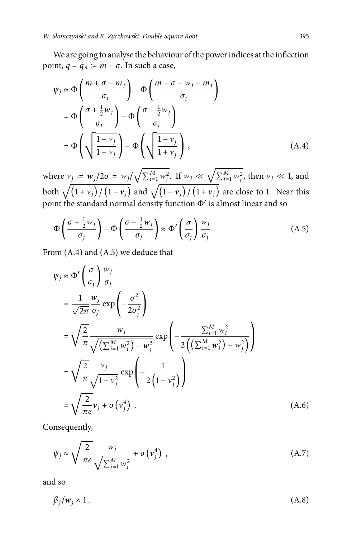We are going to analyse the behaviour of the power indices at the inflection point,  $q = q_n := m + \sigma$ . In such a case,

$$
\psi_j \approx \Phi\left(\frac{m+\sigma-m_j}{\sigma_j}\right) - \Phi\left(\frac{m+\sigma-w_j-m_j}{\sigma_j}\right)
$$

$$
= \Phi\left(\frac{\sigma+\frac{1}{2}w_j}{\sigma_j}\right) - \Phi\left(\frac{\sigma-\frac{1}{2}w_j}{\sigma_j}\right)
$$

$$
= \Phi\left(\sqrt{\frac{1+\nu_j}{1-\nu_j}}\right) - \Phi\left(\sqrt{\frac{1-\nu_j}{1+\nu_j}}\right), \tag{A.4}
$$

where  $v_j := w_j/2\sigma = w_j/\sqrt{ }$ ∑  $\frac{M}{N_{i=1} w_i^2}$ . If  $w_j \ll \sqrt{ }$ ∑  $_{i=1}^M w_i^2$ , then  $v_j \ll 1$ , and both  $\sqrt{\left(1+v_j\right)/\left(1-v_j\right)}$  and  $\sqrt{\left(1-v_j\right)/\left(1+v_j\right)}$  are close to 1. Near this point the standard normal density function Φ′ is almost linear and so

$$
\Phi\left(\frac{\sigma + \frac{1}{2}w_j}{\sigma_j}\right) - \Phi\left(\frac{\sigma - \frac{1}{2}w_j}{\sigma_j}\right) \approx \Phi'\left(\frac{\sigma}{\sigma_j}\right)\frac{w_j}{\sigma_j} \,. \tag{A.5}
$$

From (A.4) and (A.5) we deduce that

$$
\psi_j \approx \Phi' \left( \frac{\sigma}{\sigma_j} \right) \frac{w_j}{\sigma_j}
$$
\n
$$
= \frac{1}{\sqrt{2\pi}} \frac{w_j}{\sigma_j} \exp \left( -\frac{\sigma^2}{2\sigma_j^2} \right)
$$
\n
$$
= \sqrt{\frac{2}{\pi}} \frac{w_j}{\sqrt{\left( \sum_{i=1}^M w_i^2 \right) - w_j^2}} \exp \left( -\frac{\sum_{i=1}^M w_i^2}{2 \left( \left( \sum_{i=1}^M w_i^2 \right) - w_j^2 \right)} \right)
$$
\n
$$
= \sqrt{\frac{2}{\pi}} \frac{v_j}{\sqrt{1 - v_j^2}} \exp \left( -\frac{1}{2 \left( 1 - v_j^2 \right)} \right)
$$
\n
$$
= \sqrt{\frac{2}{\pi}} v_j + o \left( v_j^4 \right) . \tag{A.6}
$$

Consequently,

$$
\psi_j \approx \sqrt{\frac{2}{\pi e}} \frac{w_j}{\sqrt{\sum_{i=1}^M w_i^2}} + o(v_j^4) , \qquad (A.7)
$$

and so

 $\beta_i/w_i \approx 1$  . (A.8)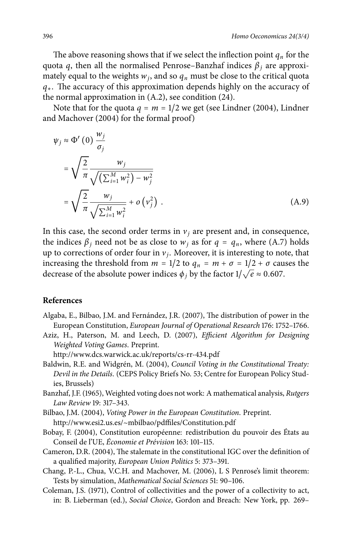The above reasoning shows that if we select the inflection point  $q_n$  for the quota q, then all the normalised Penrose–Banzhaf indices  $\beta_i$  are approximately equal to the weights  $w_i$ , and so  $q_n$  must be close to the critical quota  $q_{*}$ . The accuracy of this approximation depends highly on the accuracy of the normal approximation in (A.2), see condition (24).

Note that for the quota  $q = m = 1/2$  we get (see Lindner (2004), Lindner and Machover (2004) for the formal proof)

$$
\psi_j \approx \Phi' \left( 0 \right) \frac{w_j}{\sigma_j}
$$
\n
$$
= \sqrt{\frac{2}{\pi}} \frac{w_j}{\sqrt{\left( \sum_{i=1}^M w_i^2 \right) - w_j^2}}
$$
\n
$$
= \sqrt{\frac{2}{\pi}} \frac{w_j}{\sqrt{\sum_{i=1}^M w_i^2}} + o\left( v_j^2 \right) . \tag{A.9}
$$

In this case, the second order terms in  $v_i$  are present and, in consequence, the indices  $\beta_i$  need not be as close to  $w_i$  as for  $q = q_n$ , where (A.7) holds up to corrections of order four in  $v_i$ . Moreover, it is interesting to note, that increasing the threshold from  $m = 1/2$  to  $q_n = m + \sigma = 1/2 + \sigma$  causes the decrease of the absolute power indices  $\phi_j$  by the factor  $1/\sqrt{e} \approx 0.607$ .

## **References**

- Algaba, E., Bilbao, J.M. and Fernández, J.R. (2007), The distribution of power in the European Constitution, European Journal of Operational Research 176: 1752–1766.
- Aziz, H., Paterson, M. and Leech, D. (2007), Efficient Algorithm for Designing Weighted Voting Games. Preprint.

http://www.dcs.warwick.ac.uk/reports/cs-rr-434.pdf

- Baldwin, R.E. and Widgrén, M. (2004), Council Voting in the Constitutional Treaty: Devil in the Details. (CEPS Policy Briefs No. 53; Centre for European Policy Studies, Brussels)
- Banzhaf, J.F. (1965), Weighted voting does not work: A mathematical analysis, Rutgers Law Review 19: 317–343.
- Bilbao, J.M. (2004), Voting Power in the European Constitution. Preprint. http://www.esi2.us.es/~mbilbao/pdffiles/Constitution.pdf
- Bobay, F. (2004), Constitution européenne: redistribution du pouvoir des États au Conseil de l'UE, Économie et Prévision 163: 101–115.
- Cameron, D.R. (2004), The stalemate in the constitutional IGC over the definition of a qualified majority, European Union Politics 5: 373-391.
- Chang, P.-L., Chua, V.C.H. and Machover, M. (2006), L S Penrose's limit theorem: Tests by simulation, Mathematical Social Sciences 51: 90–106.
- Coleman, J.S. (1971), Control of collectivities and the power of a collectivity to act, in: B. Lieberman (ed.), Social Choice, Gordon and Breach: New York, pp. 269–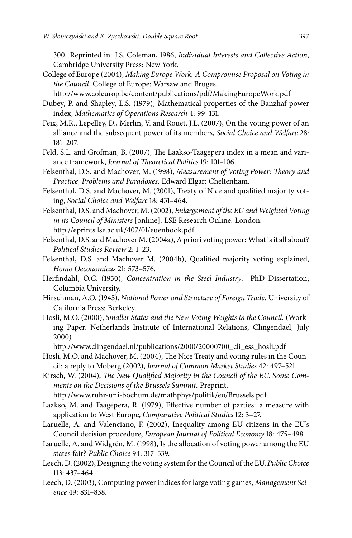300. Reprinted in: J.S. Coleman, 1986, Individual Interests and Collective Action, Cambridge University Press: New York.

College of Europe (2004), Making Europe Work: A Compromise Proposal on Voting in the Council. College of Europe: Warsaw and Bruges.

http://www.coleurop.be/content/publications/pdf/MakingEuropeWork.pdf

- Dubey, P. and Shapley, L.S. (1979), Mathematical properties of the Banzhaf power index, Mathematics of Operations Research 4: 99–131.
- Feix, M.R., Lepelley, D., Merlin, V. and Rouet, J.L. (2007), On the voting power of an alliance and the subsequent power of its members, Social Choice and Welfare 28: 181–207.
- Feld, S.L. and Grofman, B. (2007), The Laakso-Taagepera index in a mean and variance framework, Journal of Theoretical Politics 19: 101-106.
- Felsenthal, D.S. and Machover, M. (1998), Measurement of Voting Power: Theory and Practice, Problems and Paradoxes. Edward Elgar: Cheltenham.
- Felsenthal, D.S. and Machover, M. (2001), Treaty of Nice and qualified majority voting, Social Choice and Welfare 18: 431–464.
- Felsenthal, D.S. and Machover, M. (2002), Enlargement of the EU and Weighted Voting in its Council of Ministers [online]. LSE Research Online: London. http://eprints.lse.ac.uk/407/01/euenbook.pdf
- Felsenthal, D.S. and Machover M. (2004a), A priori voting power: What is it all about? Political Studies Review 2: 1–23.
- Felsenthal, D.S. and Machover M. (2004b), Qualified majority voting explained, Homo Oeconomicus 21: 573–576.
- Herfindahl, O.C. (1950), Concentration in the Steel Industry. PhD Dissertation; Columbia University.
- Hirschman, A.O. (1945), National Power and Structure of Foreign Trade. University of California Press: Berkeley.
- Hosli, M.O. (2000), Smaller States and the New Voting Weights in the Council. (Working Paper, Netherlands Institute of International Relations, Clingendael, July 2000)
	- http://www.clingendael.nl/publications/2000/20000700\_cli\_ess\_hosli.pdf
- Hosli, M.O. and Machover, M. (2004), The Nice Treaty and voting rules in the Council: a reply to Moberg (2002), Journal of Common Market Studies 42: 497–521.
- Kirsch, W. (2004), The New Qualified Majority in the Council of the EU. Some Comments on the Decisions of the Brussels Summit. Preprint. http://www.ruhr-uni-bochum.de/mathphys/politik/eu/Brussels.pdf
- Laakso, M. and Taagepera, R. (1979), Effective number of parties: a measure with application to West Europe, Comparative Political Studies 12: 3–27.
- Laruelle, A. and Valenciano, F. (2002), Inequality among EU citizens in the EU's Council decision procedure, European Journal of Political Economy 18: 475–498.
- Laruelle, A. and Widgrén, M. (1998), Is the allocation of voting power among the EU states fair? Public Choice 94: 317–339.
- Leech, D. (2002), Designing the voting system for the Council of the EU. Public Choice 113: 437–464.
- Leech, D. (2003), Computing power indices for large voting games, Management Science 49: 831–838.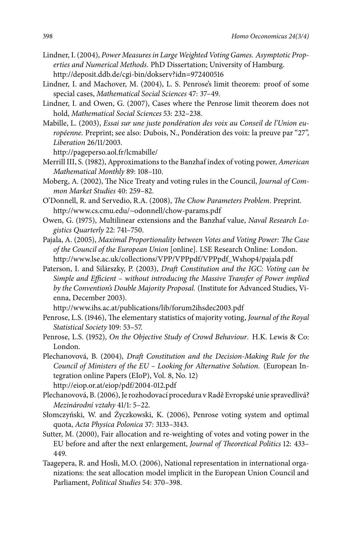- Lindner, I. (2004), Power Measures in Large Weighted Voting Games. Asymptotic Properties and Numerical Methods. PhD Dissertation; University of Hamburg. http://deposit.ddb.de/cgi-bin/dokserv?idn=972400516
- Lindner, I. and Machover, M. (2004), L. S. Penrose's limit theorem: proof of some special cases, Mathematical Social Sciences 47: 37–49.
- Lindner, I. and Owen, G. (2007), Cases where the Penrose limit theorem does not hold, Mathematical Social Sciences 53: 232–238.
- Mabille, L. (2003), Essai sur une juste pondération des voix au Conseil de l'Union européenne. Preprint; see also: Dubois, N., Pondération des voix: la preuve par "27", Liberation 26/11/2003.

http://pageperso.aol.fr/lcmabille/

- Merrill III, S. (1982), Approximations to the Banzhaf index of voting power, American Mathematical Monthly 89: 108–110.
- Moberg, A. (2002), The Nice Treaty and voting rules in the Council, Journal of Common Market Studies 40: 259–82.
- O'Donnell, R. and Servedio, R.A. (2008), The Chow Parameters Problem. Preprint. http://www.cs.cmu.edu/~odonnell/chow-params.pdf
- Owen, G. (1975), Multilinear extensions and the Banzhaf value, Naval Research Logistics Quarterly 22: 741–750.
- Pajala, A. (2005), Maximal Proportionality between Votes and Voting Power: The Case of the Council of the European Union [online]. LSE Research Online: London. http://www.lse.ac.uk/collections/VPP/VPPpdf/VPPpdf\_Wshop4/pajala.pdf
- Paterson, I. and Silárszky, P. (2003), Draft Constitution and the IGC: Voting can be Simple and Efficient - without introducing the Massive Transfer of Power implied by the Convention's Double Majority Proposal. (Institute for Advanced Studies, Vienna, December 2003).

http://www.ihs.ac.at/publications/lib/forum2ihsdec2003.pdf

- Penrose, L.S. (1946), The elementary statistics of majority voting, Journal of the Royal Statistical Society 109: 53–57.
- Penrose, L.S. (1952), On the Objective Study of Crowd Behaviour. H.K. Lewis & Co: London.
- Plechanovová, B. (2004), Draft Constitution and the Decision-Making Rule for the Council of Ministers of the EU – Looking for Alternative Solution. (European Integration online Papers (EIoP), Vol. 8, No. 12) http://eiop.or.at/eiop/pdf/2004-012.pdf
- Plechanovová, B. (2006), Je rozhodovací procedura v Radě Evropské unie spravedlivá? Mezinárodní vztahy 41/1: 5–22.
- Słomczyński, W. and Życzkowski, K. (2006), Penrose voting system and optimal quota, Acta Physica Polonica 37: 3133–3143.
- Sutter, M. (2000), Fair allocation and re-weighting of votes and voting power in the EU before and after the next enlargement, Journal of Theoretical Politics 12: 433– 449.
- Taagepera, R. and Hosli, M.O. (2006), National representation in international organizations: the seat allocation model implicit in the European Union Council and Parliament, Political Studies 54: 370–398.